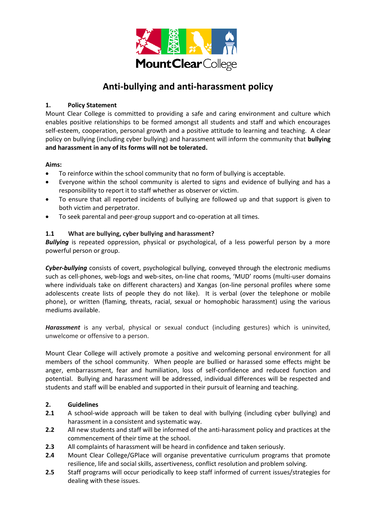

# **Anti-bullying and anti-harassment policy**

# **1. Policy Statement**

Mount Clear College is committed to providing a safe and caring environment and culture which enables positive relationships to be formed amongst all students and staff and which encourages self-esteem, cooperation, personal growth and a positive attitude to learning and teaching. A clear policy on bullying (including cyber bullying) and harassment will inform the community that **bullying and harassment in any of its forms will not be tolerated.**

# **Aims:**

- To reinforce within the school community that no form of bullying is acceptable.
- Everyone within the school community is alerted to signs and evidence of bullying and has a responsibility to report it to staff whether as observer or victim.
- To ensure that all reported incidents of bullying are followed up and that support is given to both victim and perpetrator.
- To seek parental and peer-group support and co-operation at all times.

# **1.1 What are bullying, cyber bullying and harassment?**

*Bullying* is repeated oppression, physical or psychological, of a less powerful person by a more powerful person or group.

*Cyber-bullying* consists of covert, psychological bullying, conveyed through the electronic mediums such as cell-phones, web-logs and web-sites, on-line chat rooms, 'MUD' rooms (multi-user domains where individuals take on different characters) and Xangas (on-line personal profiles where some adolescents create lists of people they do not like). It is verbal (over the telephone or mobile phone), or written (flaming, threats, racial, sexual or homophobic harassment) using the various mediums available.

*Harassment* is any verbal, physical or sexual conduct (including gestures) which is uninvited, unwelcome or offensive to a person.

Mount Clear College will actively promote a positive and welcoming personal environment for all members of the school community. When people are bullied or harassed some effects might be anger, embarrassment, fear and humiliation, loss of self-confidence and reduced function and potential. Bullying and harassment will be addressed, individual differences will be respected and students and staff will be enabled and supported in their pursuit of learning and teaching.

## **2. Guidelines**

- **2.1** A school-wide approach will be taken to deal with bullying (including cyber bullying) and harassment in a consistent and systematic way.
- **2.2** All new students and staff will be informed of the anti-harassment policy and practices at the commencement of their time at the school.
- **2.3** All complaints of harassment will be heard in confidence and taken seriously.
- **2.4** Mount Clear College/GPlace will organise preventative curriculum programs that promote resilience, life and social skills, assertiveness, conflict resolution and problem solving.
- **2.5** Staff programs will occur periodically to keep staff informed of current issues/strategies for dealing with these issues.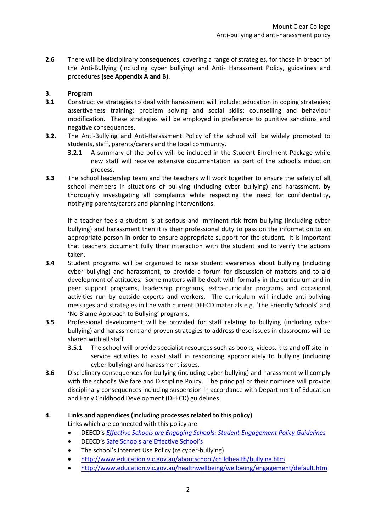**2.6** There will be disciplinary consequences, covering a range of strategies, for those in breach of the Anti-Bullying (including cyber bullying) and Anti- Harassment Policy, guidelines and procedures **(see Appendix A and B)**.

## **3. Program**

- **3.1** Constructive strategies to deal with harassment will include: education in coping strategies; assertiveness training; problem solving and social skills; counselling and behaviour modification. These strategies will be employed in preference to punitive sanctions and negative consequences.
- **3.2.** The Anti-Bullying and Anti-Harassment Policy of the school will be widely promoted to students, staff, parents/carers and the local community.
	- **3.2.1** A summary of the policy will be included in the Student Enrolment Package while new staff will receive extensive documentation as part of the school's induction process.
- **3.3** The school leadership team and the teachers will work together to ensure the safety of all school members in situations of bullying (including cyber bullying) and harassment, by thoroughly investigating all complaints while respecting the need for confidentiality, notifying parents/carers and planning interventions.

If a teacher feels a student is at serious and imminent risk from bullying (including cyber bullying) and harassment then it is their professional duty to pass on the information to an appropriate person in order to ensure appropriate support for the student. It is important that teachers document fully their interaction with the student and to verify the actions taken.

- **3.4** Student programs will be organized to raise student awareness about bullying (including cyber bullying) and harassment, to provide a forum for discussion of matters and to aid development of attitudes. Some matters will be dealt with formally in the curriculum and in peer support programs, leadership programs, extra-curricular programs and occasional activities run by outside experts and workers. The curriculum will include anti-bullying messages and strategies in line with current DEECD materials e.g. 'The Friendly Schools' and 'No Blame Approach to Bullying' programs.
- **3.5** Professional development will be provided for staff relating to bullying (including cyber bullying) and harassment and proven strategies to address these issues in classrooms will be shared with all staff.
	- **3.5.1** The school will provide specialist resources such as books, videos, kits and off site inservice activities to assist staff in responding appropriately to bullying (including cyber bullying) and harassment issues.
- **3.6** Disciplinary consequences for bullying (including cyber bullying) and harassment will comply with the school's Welfare and Discipline Policy. The principal or their nominee will provide disciplinary consequences including suspension in accordance with Department of Education and Early Childhood Development (DEECD) guidelines.

## **4. Links and appendices (including processes related to this policy)**

Links which are connected with this policy are:

- DEECD's *[Effective Schools are Engaging Schools: Student Engagement Policy Guidelines](http://www.eduweb.vic.gov.au/edulibrary/public/stuman/wellbeing/segpolicy.pdf)*
- DEECD's [Safe Schools are Effective School's](http://www.eduweb.vic.gov.au/edulibrary/public/stuman/wellbeing/SafeSchoolsStrategy.pdf)
- The school's Internet Use Policy (re cyber-bullying)
- <http://www.education.vic.gov.au/aboutschool/childhealth/bullying.htm>
- <http://www.education.vic.gov.au/healthwellbeing/wellbeing/engagement/default.htm>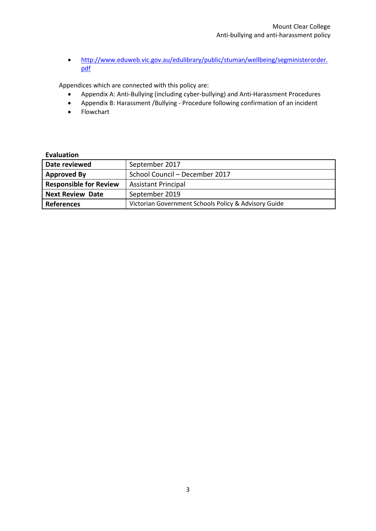• [http://www.eduweb.vic.gov.au/edulibrary/public/stuman/wellbeing/segministerorder.](http://www.eduweb.vic.gov.au/edulibrary/public/stuman/wellbeing/segministerorder.pdf) [pdf](http://www.eduweb.vic.gov.au/edulibrary/public/stuman/wellbeing/segministerorder.pdf)

Appendices which are connected with this policy are:

- Appendix A: Anti-Bullying (including cyber-bullying) and Anti-Harassment Procedures
- Appendix B: Harassment /Bullying Procedure following confirmation of an incident
- Flowchart

## **Evaluation**

| Date reviewed                 | September 2017                                       |
|-------------------------------|------------------------------------------------------|
| <b>Approved By</b>            | School Council - December 2017                       |
| <b>Responsible for Review</b> | <b>Assistant Principal</b>                           |
| <b>Next Review Date</b>       | September 2019                                       |
| <b>References</b>             | Victorian Government Schools Policy & Advisory Guide |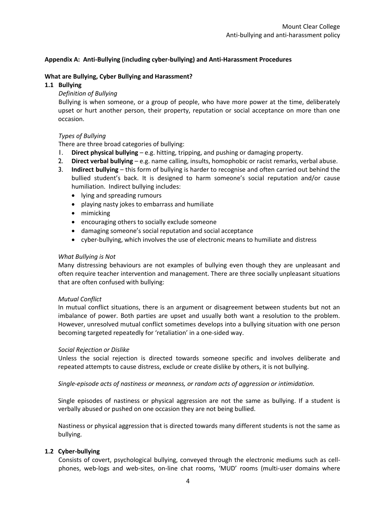## **Appendix A: Anti-Bullying (including cyber-bullying) and Anti-Harassment Procedures**

#### **What are Bullying, Cyber Bullying and Harassment?**

#### **1.1 Bullying**

#### *Definition of Bullying*

Bullying is when someone, or a group of people, who have more power at the time, deliberately upset or hurt another person, their property, reputation or social acceptance on more than one occasion.

#### *Types of Bullying*

There are three broad categories of bullying:

- 1. **Direct physical bullying** e.g. hitting, tripping, and pushing or damaging property.
- 2. **Direct verbal bullying** e.g. name calling, insults, homophobic or racist remarks, verbal abuse.
- 3. **Indirect bullying** this form of bullying is harder to recognise and often carried out behind the bullied student's back. It is designed to harm someone's social reputation and/or cause humiliation. Indirect bullying includes:
	- lying and spreading rumours
	- playing nasty jokes to embarrass and humiliate
	- mimicking
	- encouraging others to socially exclude someone
	- damaging someone's social reputation and social acceptance
	- cyber-bullying, which involves the use of electronic means to humiliate and distress

#### *What Bullying is Not*

Many distressing behaviours are not examples of bullying even though they are unpleasant and often require teacher intervention and management. There are three socially unpleasant situations that are often confused with bullying:

#### *Mutual Conflict*

In mutual conflict situations, there is an argument or disagreement between students but not an imbalance of power. Both parties are upset and usually both want a resolution to the problem. However, unresolved mutual conflict sometimes develops into a bullying situation with one person becoming targeted repeatedly for 'retaliation' in a one-sided way.

#### *Social Rejection or Dislike*

Unless the social rejection is directed towards someone specific and involves deliberate and repeated attempts to cause distress, exclude or create dislike by others, it is not bullying.

*Single-episode acts of nastiness or meanness, or random acts of aggression or intimidation.*

Single episodes of nastiness or physical aggression are not the same as bullying. If a student is verbally abused or pushed on one occasion they are not being bullied.

Nastiness or physical aggression that is directed towards many different students is not the same as bullying.

#### **1.2 Cyber-bullying**

Consists of covert, psychological bullying, conveyed through the electronic mediums such as cellphones, web-logs and web-sites, on-line chat rooms, 'MUD' rooms (multi-user domains where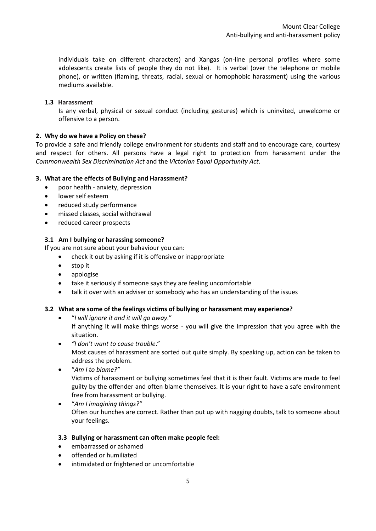individuals take on different characters) and Xangas (on-line personal profiles where some adolescents create lists of people they do not like). It is verbal (over the telephone or mobile phone), or written (flaming, threats, racial, sexual or homophobic harassment) using the various mediums available.

## **1.3 Harassment**

Is any verbal, physical or sexual conduct (including gestures) which is uninvited, unwelcome or offensive to a person.

## **2. Why do we have a Policy on these?**

To provide a safe and friendly college environment for students and staff and to encourage care, courtesy and respect for others. All persons have a legal right to protection from harassment under the *Commonwealth Sex Discrimination Act* and the *Victorian Equal Opportunity Act*.

## **3. What are the effects of Bullying and Harassment?**

- poor health anxiety, depression
- lower self esteem
- reduced study performance
- missed classes, social withdrawal
- reduced career prospects

## **3.1 Am I bullying or harassing someone?**

If you are not sure about your behaviour you can:

- check it out by asking if it is offensive or inappropriate
- stop it
- apologise
- take it seriously if someone says they are feeling uncomfortable
- talk it over with an adviser or somebody who has an understanding of the issues

#### **3.2 What are some of the feelings victims of bullying or harassment may experience?**

"*I will ignore it and it will go away*."

If anything it will make things worse - you will give the impression that you agree with the situation.

- *"I don't want to cause trouble*." Most causes of harassment are sorted out quite simply. By speaking up, action can be taken to address the problem.
- "*Am I to blame?"* Victims of harassment or bullying sometimes feel that it is their fault. Victims are made to feel guilty by the offender and often blame themselves. It is your right to have a safe environment free from harassment or bullying.
- "*Am I imagining things?"* Often our hunches are correct. Rather than put up with nagging doubts, talk to someone about your feelings.

#### **3.3 Bullying or harassment can often make people feel:**

- embarrassed or ashamed
- offended or humiliated
- intimidated or frightened or uncomfortable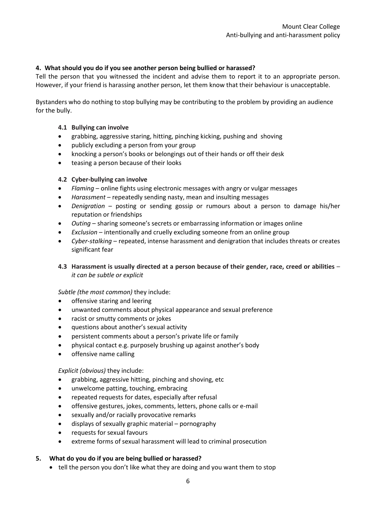## **4. What should you do if you see another person being bullied or harassed?**

Tell the person that you witnessed the incident and advise them to report it to an appropriate person. However, if your friend is harassing another person, let them know that their behaviour is unacceptable.

Bystanders who do nothing to stop bullying may be contributing to the problem by providing an audience for the bully.

#### **4.1 Bullying can involve**

- grabbing, aggressive staring, hitting, pinching kicking, pushing and shoving
- publicly excluding a person from your group
- knocking a person's books or belongings out of their hands or off their desk
- teasing a person because of their looks

#### **4.2 Cyber-bullying can involve**

- *Flaming*  online fights using electronic messages with angry or vulgar messages
- *Harassment*  repeatedly sending nasty, mean and insulting messages
- *Denigration*  posting or sending gossip or rumours about a person to damage his/her reputation or friendships
- *Outing*  sharing someone's secrets or embarrassing information or images online
- *Exclusion* intentionally and cruelly excluding someone from an online group
- *Cyber-stalking*  repeated, intense harassment and denigration that includes threats or creates significant fear

## **4.3 Harassment is usually directed at a person because of their gender, race, creed or abilities** – *it can be subtle or explicit*

#### *Subtle (the most common)* they include:

- offensive staring and leering
- unwanted comments about physical appearance and sexual preference
- racist or smutty comments or jokes
- questions about another's sexual activity
- persistent comments about a person's private life or family
- physical contact e.g. purposely brushing up against another's body
- offensive name calling

#### *Explicit (obvious)* they include:

- grabbing, aggressive hitting, pinching and shoving, etc
- unwelcome patting, touching, embracing
- repeated requests for dates, especially after refusal
- offensive gestures, jokes, comments, letters, phone calls or e-mail
- sexually and/or racially provocative remarks
- displays of sexually graphic material pornography
- requests for sexual favours
- extreme forms of sexual harassment will lead to criminal prosecution

#### **5. What do you do if you are being bullied or harassed?**

tell the person you don't like what they are doing and you want them to stop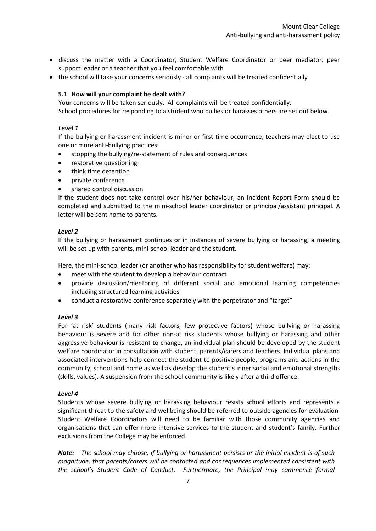- discuss the matter with a Coordinator, Student Welfare Coordinator or peer mediator, peer support leader or a teacher that you feel comfortable with
- the school will take your concerns seriously all complaints will be treated confidentially

## **5.1 How will your complaint be dealt with?**

Your concerns will be taken seriously. All complaints will be treated confidentially. School procedures for responding to a student who bullies or harasses others are set out below.

#### *Level 1*

If the bullying or harassment incident is minor or first time occurrence, teachers may elect to use one or more anti-bullying practices:

- stopping the bullying/re-statement of rules and consequences
- restorative questioning
- think time detention
- private conference
- shared control discussion

If the student does not take control over his/her behaviour, an Incident Report Form should be completed and submitted to the mini-school leader coordinator or principal/assistant principal. A letter will be sent home to parents.

#### *Level 2*

If the bullying or harassment continues or in instances of severe bullying or harassing, a meeting will be set up with parents, mini-school leader and the student.

Here, the mini-school leader (or another who has responsibility for student welfare) may:

- meet with the student to develop a behaviour contract
- provide discussion/mentoring of different social and emotional learning competencies including structured learning activities
- conduct a restorative conference separately with the perpetrator and "target"

#### *Level 3*

For 'at risk' students (many risk factors, few protective factors) whose bullying or harassing behaviour is severe and for other non-at risk students whose bullying or harassing and other aggressive behaviour is resistant to change, an individual plan should be developed by the student welfare coordinator in consultation with student, parents/carers and teachers. Individual plans and associated interventions help connect the student to positive people, programs and actions in the community, school and home as well as develop the student's inner social and emotional strengths (skills, values). A suspension from the school community is likely after a third offence.

#### *Level 4*

Students whose severe bullying or harassing behaviour resists school efforts and represents a significant threat to the safety and wellbeing should be referred to outside agencies for evaluation. Student Welfare Coordinators will need to be familiar with those community agencies and organisations that can offer more intensive services to the student and student's family. Further exclusions from the College may be enforced.

*Note: The school may choose, if bullying or harassment persists or the initial incident is of such magnitude, that parents/carers will be contacted and consequences implemented consistent with the school's Student Code of Conduct. Furthermore, the Principal may commence formal*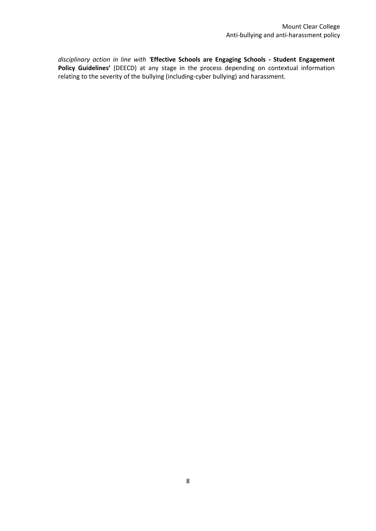*disciplinary action in line with '***Effective Schools are Engaging Schools - Student Engagement Policy Guidelines'** (DEECD) at any stage in the process depending on contextual information relating to the severity of the bullying (including-cyber bullying) and harassment*.*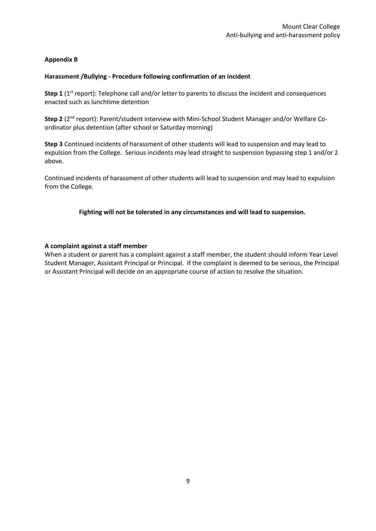## **Appendix B**

#### **Harassment /Bullying - Procedure following confirmation of an incident**

**Step 1** (1<sup>st</sup> report): Telephone call and/or letter to parents to discuss the incident and consequences enacted such as lunchtime detention

**Step 2** (2<sup>nd</sup> report): Parent/student interview with Mini-School Student Manager and/or Welfare Coordinator plus detention (after school or Saturday morning)

**Step 3** Continued incidents of harassment of other students will lead to suspension and may lead to expulsion from the College. Serious incidents may lead straight to suspension bypassing step 1 and/or 2 above.

Continued incidents of harassment of other students will lead to suspension and may lead to expulsion from the College.

## **Fighting will not be tolerated in any circumstances and will lead to suspension.**

#### **A complaint against a staff member**

When a student or parent has a complaint against a staff member, the student should inform Year Level Student Manager, Assistant Principal or Principal. If the complaint is deemed to be serious, the Principal or Assistant Principal will decide on an appropriate course of action to resolve the situation.